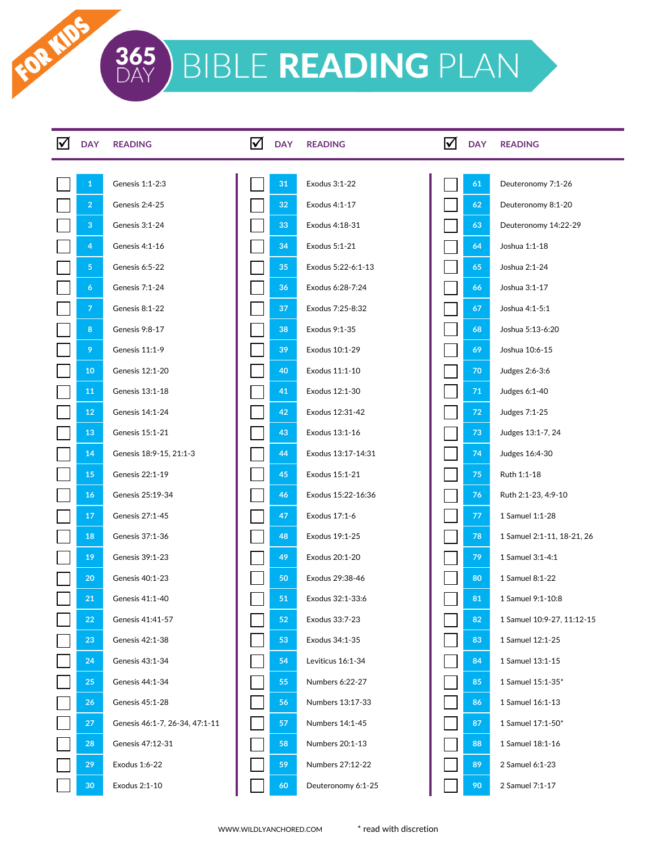FOR MDS

| IV | <b>DAY</b>      | <b>READING</b>                 | ⋈ | <b>DAY</b> | <b>READING</b>     | ⋈ | <b>DAY</b> | <b>READING</b>             |
|----|-----------------|--------------------------------|---|------------|--------------------|---|------------|----------------------------|
|    |                 |                                |   |            |                    |   |            |                            |
|    | $\mathbf{1}$    | Genesis 1:1-2:3                |   | 31         | Exodus 3:1-22      |   | 61         | Deuteronomy 7:1-26         |
|    | $\overline{2}$  | Genesis 2:4-25                 |   | 32         | Exodus 4:1-17      |   | 62         | Deuteronomy 8:1-20         |
|    | 3               | Genesis 3:1-24                 |   | 33         | Exodus 4:18-31     |   | 63         | Deuteronomy 14:22-29       |
|    | 4               | Genesis 4:1-16                 |   | 34         | Exodus 5:1-21      |   | 64         | Joshua 1:1-18              |
|    | 5 <sub>1</sub>  | Genesis 6:5-22                 |   | 35         | Exodus 5:22-6:1-13 |   | 65         | Joshua 2:1-24              |
|    | 6               | Genesis 7:1-24                 |   | 36         | Exodus 6:28-7:24   |   | 66         | Joshua 3:1-17              |
|    | $\overline{7}$  | Genesis 8:1-22                 |   | 37         | Exodus 7:25-8:32   |   | 67         | Joshua 4:1-5:1             |
|    | 8               | Genesis 9:8-17                 |   | 38         | Exodus 9:1-35      |   | 68         | Joshua 5:13-6:20           |
|    | 9               | Genesis 11:1-9                 |   | 39         | Exodus 10:1-29     |   | 69         | Joshua 10:6-15             |
|    | 10 <sub>1</sub> | Genesis 12:1-20                |   | 40         | Exodus 11:1-10     |   | 70         | Judges 2:6-3:6             |
|    | 11              | Genesis 13:1-18                |   | 41         | Exodus 12:1-30     |   | 71         | Judges 6:1-40              |
|    | 12              | Genesis 14:1-24                |   | 42         | Exodus 12:31-42    |   | 72         | Judges 7:1-25              |
|    | 13              | Genesis 15:1-21                |   | 43         | Exodus 13:1-16     |   | 73         | Judges 13:1-7, 24          |
|    | 14              | Genesis 18:9-15, 21:1-3        |   | 44         | Exodus 13:17-14:31 |   | 74         | Judges 16:4-30             |
|    | 15              | Genesis 22:1-19                |   | 45         | Exodus 15:1-21     |   | 75         | Ruth 1:1-18                |
|    | 16              | Genesis 25:19-34               |   | 46         | Exodus 15:22-16:36 |   | 76         | Ruth 2:1-23, 4:9-10        |
|    | 17              | Genesis 27:1-45                |   | 47         | Exodus 17:1-6      |   | 77         | 1 Samuel 1:1-28            |
|    | 18              | Genesis 37:1-36                |   | 48         | Exodus 19:1-25     |   | 78         | 1 Samuel 2:1-11, 18-21, 26 |
|    | 19              | Genesis 39:1-23                |   | 49         | Exodus 20:1-20     |   | 79         | 1 Samuel 3:1-4:1           |
|    | 20              | Genesis 40:1-23                |   | 50         | Exodus 29:38-46    |   | 80         | 1 Samuel 8:1-22            |
|    | 21              | Genesis 41:1-40                |   | 51         | Exodus 32:1-33:6   |   | 81         | 1 Samuel 9:1-10:8          |
|    | 22              | Genesis 41:41-57               |   | 52         | Exodus 33:7-23     |   | 82         | 1 Samuel 10:9-27, 11:12-15 |
|    | 23              | Genesis 42:1-38                |   | 53         | Exodus 34:1-35     |   | 83         | 1 Samuel 12:1-25           |
|    | 24              | Genesis 43:1-34                |   | 54         | Leviticus 16:1-34  |   | 84         | 1 Samuel 13:1-15           |
|    | 25              | Genesis 44:1-34                |   | 55         | Numbers 6:22-27    |   | 85         | 1 Samuel 15:1-35*          |
|    | 26              | Genesis 45:1-28                |   | 56         | Numbers 13:17-33   |   | 86         | 1 Samuel 16:1-13           |
|    | 27              | Genesis 46:1-7, 26-34, 47:1-11 |   | 57         | Numbers 14:1-45    |   | 87         | 1 Samuel 17:1-50*          |
|    | 28              | Genesis 47:12-31               |   | 58         | Numbers 20:1-13    |   | 88         | 1 Samuel 18:1-16           |
|    | 29              | Exodus 1:6-22                  |   | 59         | Numbers 27:12-22   |   | 89         | 2 Samuel 6:1-23            |
|    | 30              | Exodus 2:1-10                  |   | 60         | Deuteronomy 6:1-25 |   | 90         | 2 Samuel 7:1-17            |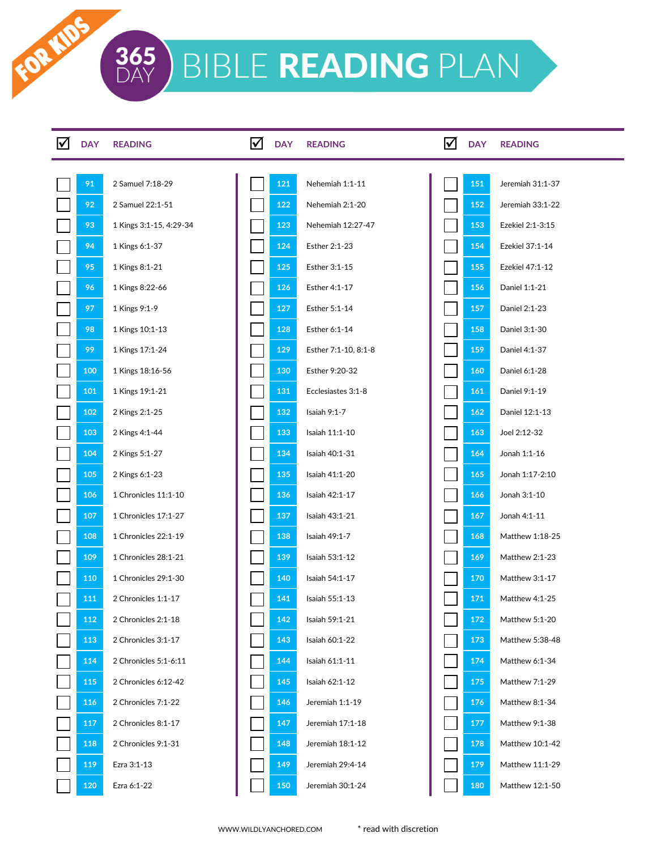FOR IDS

| <b>DAY</b> | <b>READING</b>          | $\blacktriangledown$ | <b>DAY</b> | <b>READING</b>       | ☑ | <b>DAY</b> | <b>READING</b>   |
|------------|-------------------------|----------------------|------------|----------------------|---|------------|------------------|
| 91         | 2 Samuel 7:18-29        |                      | 121        | Nehemiah 1:1-11      |   | 151        | Jeremiah 31:1-37 |
| 92         | 2 Samuel 22:1-51        |                      | 122        | Nehemiah 2:1-20      |   | 152        | Jeremiah 33:1-22 |
| 93         | 1 Kings 3:1-15, 4:29-34 |                      | 123        | Nehemiah 12:27-47    |   | 153        | Ezekiel 2:1-3:15 |
| 94         | 1 Kings 6:1-37          |                      | 124        | Esther 2:1-23        |   | 154        | Ezekiel 37:1-14  |
| 95         | 1 Kings 8:1-21          |                      | 125        | Esther 3:1-15        |   | 155        | Ezekiel 47:1-12  |
| 96         | 1 Kings 8:22-66         |                      | 126        | Esther 4:1-17        |   | 156        | Daniel 1:1-21    |
| 97         | 1 Kings 9:1-9           |                      | 127        | Esther 5:1-14        |   | 157        | Daniel 2:1-23    |
| 98         | 1 Kings 10:1-13         |                      | 128        | Esther 6:1-14        |   | 158        | Daniel 3:1-30    |
| 99         | 1 Kings 17:1-24         |                      | 129        | Esther 7:1-10, 8:1-8 |   | 159        | Daniel 4:1-37    |
| 100        | 1 Kings 18:16-56        |                      | 130        | Esther 9:20-32       |   | 160        | Daniel 6:1-28    |
| 101        | 1 Kings 19:1-21         |                      | 131        | Ecclesiastes 3:1-8   |   | 161        | Daniel 9:1-19    |
| 102        | 2 Kings 2:1-25          |                      | 132        | Isaiah 9:1-7         |   | 162        | Daniel 12:1-13   |
| 103        | 2 Kings 4:1-44          |                      | 133        | Isaiah 11:1-10       |   | 163        | Joel 2:12-32     |
| 104        | 2 Kings 5:1-27          |                      | 134        | Isaiah 40:1-31       |   | 164        | Jonah 1:1-16     |
| 105        | 2 Kings 6:1-23          |                      | 135        | Isaiah 41:1-20       |   | 165        | Jonah 1:17-2:10  |
| 106        | 1 Chronicles 11:1-10    |                      | 136        | Isaiah 42:1-17       |   | 166        | Jonah 3:1-10     |
| 107        | 1 Chronicles 17:1-27    |                      | 137        | Isaiah 43:1-21       |   | 167        | Jonah 4:1-11     |
| 108        | 1 Chronicles 22:1-19    |                      | 138        | Isaiah 49:1-7        |   | 168        | Matthew 1:18-25  |
| 109        | 1 Chronicles 28:1-21    |                      | 139        | Isaiah 53:1-12       |   | 169        | Matthew 2:1-23   |
| 110        | 1 Chronicles 29:1-30    |                      | 140        | Isaiah 54:1-17       |   | 170        | Matthew 3:1-17   |
| 111        | 2 Chronicles 1:1-17     |                      | 141        | Isaiah 55:1-13       |   | 171        | Matthew 4:1-25   |
| 112        | 2 Chronicles 2:1-18     |                      | 142        | Isaiah 59:1-21       |   | 172        | Matthew 5:1-20   |
| 113        | 2 Chronicles 3:1-17     |                      | 143        | Isaiah 60:1-22       |   | 173        | Matthew 5:38-48  |
| 114        | 2 Chronicles 5:1-6:11   |                      | 144        | Isaiah 61:1-11       |   | 174        | Matthew 6:1-34   |
| 115        | 2 Chronicles 6:12-42    |                      | 145        | Isaiah 62:1-12       |   | 175        | Matthew 7:1-29   |
| 116        | 2 Chronicles 7:1-22     |                      | 146        | Jeremiah 1:1-19      |   | 176        | Matthew 8:1-34   |
| 117        | 2 Chronicles 8:1-17     |                      | 147        | Jeremiah 17:1-18     |   | 177        | Matthew 9:1-38   |
| 118        | 2 Chronicles 9:1-31     |                      | 148        | Jeremiah 18:1-12     |   | 178        | Matthew 10:1-42  |
| 119        | Ezra 3:1-13             |                      | 149        | Jeremiah 29:4-14     |   | 179        | Matthew 11:1-29  |
| 120        | Ezra 6:1-22             |                      | 150        | Jeremiah 30:1-24     |   | 180        | Matthew 12:1-50  |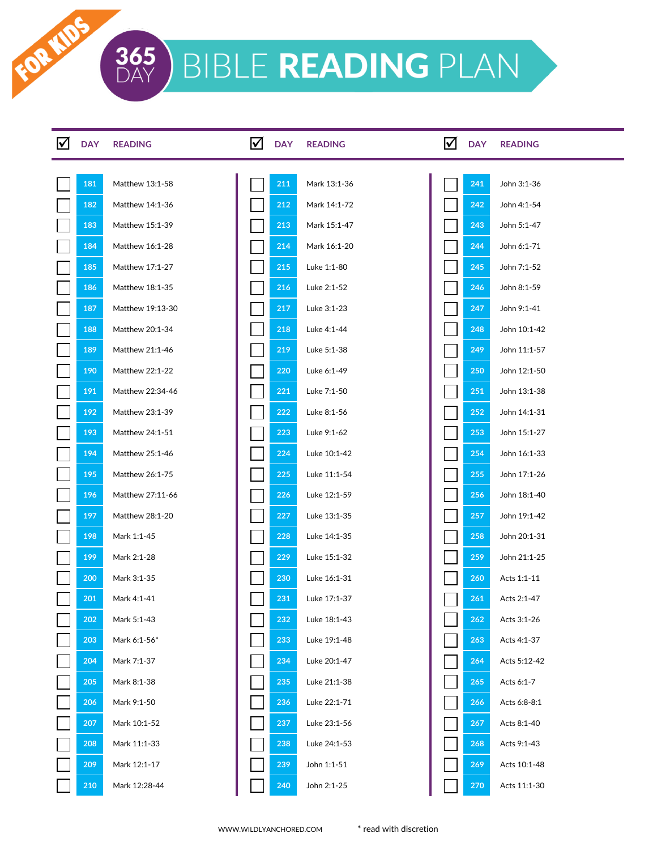FOR MDS

| <b>DAY</b> | <b>READING</b>   | ☑ | <b>DAY</b> | <b>READING</b> | ☑ | <b>DAY</b> | <b>READING</b> |
|------------|------------------|---|------------|----------------|---|------------|----------------|
|            |                  |   |            |                |   |            |                |
| 181        | Matthew 13:1-58  |   | 211        | Mark 13:1-36   |   | 241        | John 3:1-36    |
| 182        | Matthew 14:1-36  |   | 212        | Mark 14:1-72   |   | 242        | John 4:1-54    |
| 183        | Matthew 15:1-39  |   | 213        | Mark 15:1-47   |   | 243        | John 5:1-47    |
| 184        | Matthew 16:1-28  |   | 214        | Mark 16:1-20   |   | 244        | John 6:1-71    |
| 185        | Matthew 17:1-27  |   | 215        | Luke 1:1-80    |   | 245        | John 7:1-52    |
| 186        | Matthew 18:1-35  |   | 216        | Luke 2:1-52    |   | 246        | John 8:1-59    |
| 187        | Matthew 19:13-30 |   | 217        | Luke 3:1-23    |   | 247        | John 9:1-41    |
| 188        | Matthew 20:1-34  |   | 218        | Luke 4:1-44    |   | 248        | John 10:1-42   |
| 189        | Matthew 21:1-46  |   | 219        | Luke 5:1-38    |   | 249        | John 11:1-57   |
| 190        | Matthew 22:1-22  |   | 220        | Luke 6:1-49    |   | 250        | John 12:1-50   |
| 191        | Matthew 22:34-46 |   | 221        | Luke 7:1-50    |   | 251        | John 13:1-38   |
| 192        | Matthew 23:1-39  |   | 222        | Luke 8:1-56    |   | <b>252</b> | John 14:1-31   |
| 193        | Matthew 24:1-51  |   | 223        | Luke 9:1-62    |   | 253        | John 15:1-27   |
| 194        | Matthew 25:1-46  |   | 224        | Luke 10:1-42   |   | 254        | John 16:1-33   |
| 195        | Matthew 26:1-75  |   | 225        | Luke 11:1-54   |   | 255        | John 17:1-26   |
| 196        | Matthew 27:11-66 |   | 226        | Luke 12:1-59   |   | 256        | John 18:1-40   |
| 197        | Matthew 28:1-20  |   | 227        | Luke 13:1-35   |   | 257        | John 19:1-42   |
| 198        | Mark 1:1-45      |   | 228        | Luke 14:1-35   |   | 258        | John 20:1-31   |
| 199        | Mark 2:1-28      |   | 229        | Luke 15:1-32   |   | 259        | John 21:1-25   |
| <b>200</b> | Mark 3:1-35      |   | 230        | Luke 16:1-31   |   | 260        | Acts 1:1-11    |
| 201        | Mark 4:1-41      |   | 231        | Luke 17:1-37   |   | 261        | Acts 2:1-47    |
| 202        | Mark 5:1-43      |   | 232        | Luke 18:1-43   |   | 262        | Acts 3:1-26    |
| 203        | Mark 6:1-56*     |   | 233        | Luke 19:1-48   |   | 263        | Acts 4:1-37    |
| 204        | Mark 7:1-37      |   | 234        | Luke 20:1-47   |   | 264        | Acts 5:12-42   |
| 205        | Mark 8:1-38      |   | 235        | Luke 21:1-38   |   | 265        | Acts 6:1-7     |
| 206        | Mark 9:1-50      |   | 236        | Luke 22:1-71   |   | 266        | Acts 6:8-8:1   |
| 207        | Mark 10:1-52     |   | 237        | Luke 23:1-56   |   | 267        | Acts 8:1-40    |
| 208        | Mark 11:1-33     |   | 238        | Luke 24:1-53   |   | 268        | Acts 9:1-43    |
| 209        | Mark 12:1-17     |   | 239        | John 1:1-51    |   | 269        | Acts 10:1-48   |
| 210        | Mark 12:28-44    |   | 240        | John 2:1-25    |   | 270        | Acts 11:1-30   |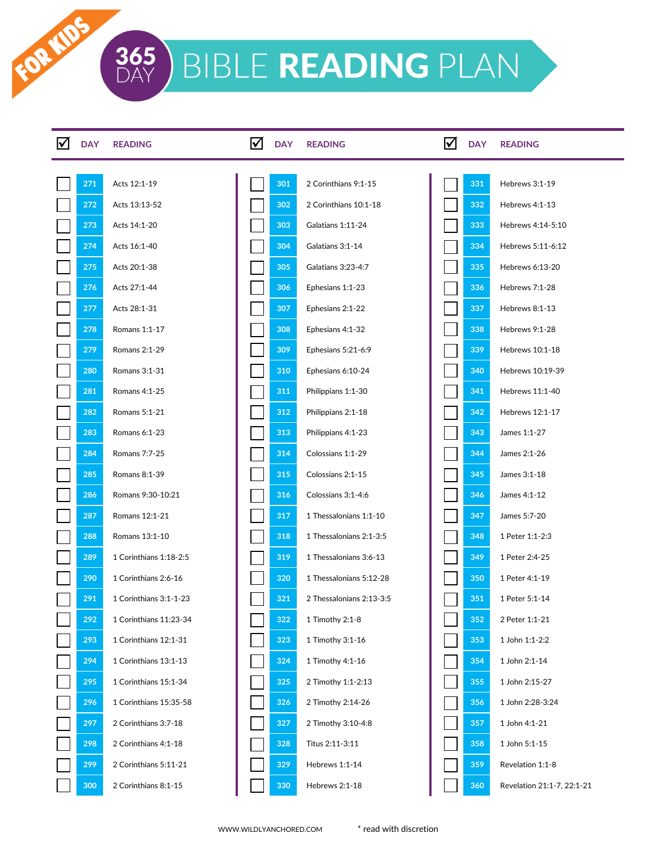FOR IDS

| <b>DAY</b> | <b>READING</b>         | ☑ | <b>DAY</b> | <b>READING</b>           | ⋈ | <b>DAY</b> | <b>READING</b>             |
|------------|------------------------|---|------------|--------------------------|---|------------|----------------------------|
| 271        | Acts 12:1-19           |   | 301        | 2 Corinthians 9:1-15     |   | 331        | Hebrews 3:1-19             |
| 272        | Acts 13:13-52          |   | 302        | 2 Corinthians 10:1-18    |   | 332        | Hebrews 4:1-13             |
| 273        | Acts 14:1-20           |   | 303        | Galatians 1:11-24        |   | 333        | Hebrews 4:14-5:10          |
| 274        | Acts 16:1-40           |   | 304        | Galatians 3:1-14         |   | 334        | Hebrews 5:11-6:12          |
| 275        | Acts 20:1-38           |   | 305        | Galatians 3:23-4:7       |   | 335        | Hebrews 6:13-20            |
| 276        | Acts 27:1-44           |   | 306        | Ephesians 1:1-23         |   | 336        | Hebrews 7:1-28             |
| 277        | Acts 28:1-31           |   | 307        | Ephesians 2:1-22         |   | 337        | Hebrews 8:1-13             |
| 278        | Romans 1:1-17          |   | 308        | Ephesians 4:1-32         |   | 338        | Hebrews 9:1-28             |
| 279        | Romans 2:1-29          |   | 309        | Ephesians 5:21-6:9       |   | 339        | Hebrews 10:1-18            |
| 280        | Romans 3:1-31          |   | 310        | Ephesians 6:10-24        |   | 340        | Hebrews 10:19-39           |
| 281        | Romans 4:1-25          |   | 311        | Philippians 1:1-30       |   | 341        | Hebrews 11:1-40            |
| 282        | Romans 5:1-21          |   | 312        | Philippians 2:1-18       |   | 342        | Hebrews 12:1-17            |
| 283        | Romans 6:1-23          |   | 313        | Philippians 4:1-23       |   | 343        | James 1:1-27               |
| 284        | Romans 7:7-25          |   | 314        | Colossians 1:1-29        |   | 344        | James 2:1-26               |
| 285        | Romans 8:1-39          |   | 315        | Colossians 2:1-15        |   | 345        | James 3:1-18               |
| 286        | Romans 9:30-10:21      |   | 316        | Colossians 3:1-4:6       |   | 346        | James 4:1-12               |
| 287        | Romans 12:1-21         |   | 317        | 1 Thessalonians 1:1-10   |   | 347        | James 5:7-20               |
| 288        | Romans 13:1-10         |   | 318        | 1 Thessalonians 2:1-3:5  |   | 348        | 1 Peter 1:1-2:3            |
| 289        | 1 Corinthians 1:18-2:5 |   | 319        | 1 Thessalonians 3:6-13   |   | 349        | 1 Peter 2:4-25             |
| 290        | 1 Corinthians 2:6-16   |   | 320        | 1 Thessalonians 5:12-28  |   | 350        | 1 Peter 4:1-19             |
| 291        | 1 Corinthians 3:1-1-23 |   | 321        | 2 Thessalonians 2:13-3:5 |   | 351        | 1 Peter 5:1-14             |
| 292        | 1 Corinthians 11:23-34 |   | 322        | 1 Timothy 2:1-8          |   | 352        | 2 Peter 1:1-21             |
| 293        | 1 Corinthians 12:1-31  |   | 323        | 1 Timothy 3:1-16         |   | 353        | 1 John 1:1-2:2             |
| 294        | 1 Corinthians 13:1-13  |   | 324        | 1 Timothy 4:1-16         |   | 354        | 1 John 2:1-14              |
| 295        | 1 Corinthians 15:1-34  |   | 325        | 2 Timothy 1:1-2:13       |   | 355        | 1 John 2:15-27             |
| 296        | 1 Corinthians 15:35-58 |   | 326        | 2 Timothy 2:14-26        |   | 356        | 1 John 2:28-3:24           |
| 297        | 2 Corinthians 3:7-18   |   | 327        | 2 Timothy 3:10-4:8       |   | 357        | 1 John 4:1-21              |
| 298        | 2 Corinthians 4:1-18   |   | 328        | Titus 2:11-3:11          |   | 358        | 1 John 5:1-15              |
| 299        | 2 Corinthians 5:11-21  |   | 329        | Hebrews 1:1-14           |   | 359        | Revelation 1:1-8           |
| 300        | 2 Corinthians 8:1-15   |   | 330        | Hebrews 2:1-18           |   | 360        | Revelation 21:1-7, 22:1-21 |